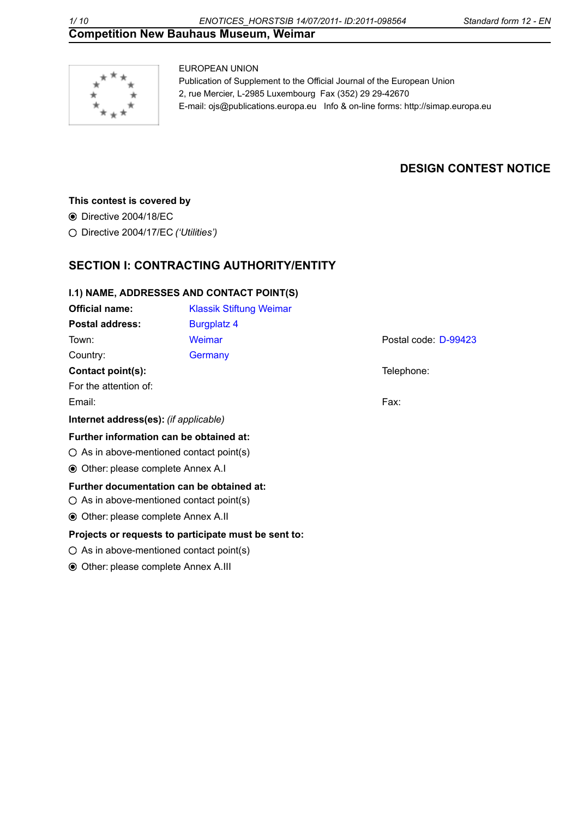

EUROPEAN UNION Publication of Supplement to the Official Journal of the European Union 2, rue Mercier, L-2985 Luxembourg Fax (352) 29 29-42670 [E-mail: ojs@publications.europa.eu](mailto:ojs@publications.europa.eu) [Info & on-line forms: http://simap.europa.eu](http://simap.europa.eu)

# **DESIGN CONTEST NOTICE**

## **This contest is covered by**

Directive 2004/18/EC

Directive 2004/17/EC *('Utilities')*

# **SECTION I: CONTRACTING AUTHORITY/ENTITY**

### **I.1) NAME, ADDRESSES AND CONTACT POINT(S)**

| <b>Official name:</b>                                                                       | <b>Klassik Stiftung Weimar</b>                       |                      |  |  |  |  |  |
|---------------------------------------------------------------------------------------------|------------------------------------------------------|----------------------|--|--|--|--|--|
| <b>Postal address:</b>                                                                      | <b>Burgplatz 4</b>                                   |                      |  |  |  |  |  |
| Town:                                                                                       | Weimar                                               | Postal code: D-99423 |  |  |  |  |  |
| Country:                                                                                    | Germany                                              |                      |  |  |  |  |  |
| Contact point(s):                                                                           |                                                      | Telephone:           |  |  |  |  |  |
| For the attention of:                                                                       |                                                      |                      |  |  |  |  |  |
| Email:                                                                                      |                                                      | Fax:                 |  |  |  |  |  |
| Internet address(es): (if applicable)                                                       |                                                      |                      |  |  |  |  |  |
| Further information can be obtained at:                                                     |                                                      |                      |  |  |  |  |  |
|                                                                                             | $\circ$ As in above-mentioned contact point(s)       |                      |  |  |  |  |  |
|                                                                                             | <b>◎</b> Other: please complete Annex A.I            |                      |  |  |  |  |  |
| Further documentation can be obtained at:<br>$\circ$ As in above-mentioned contact point(s) |                                                      |                      |  |  |  |  |  |
| ● Other: please complete Annex A.II                                                         |                                                      |                      |  |  |  |  |  |
|                                                                                             | Projects or requests to participate must be sent to: |                      |  |  |  |  |  |
| $\circ$ As in above-mentioned contact point(s)                                              |                                                      |                      |  |  |  |  |  |

Other:please complete Annex A.III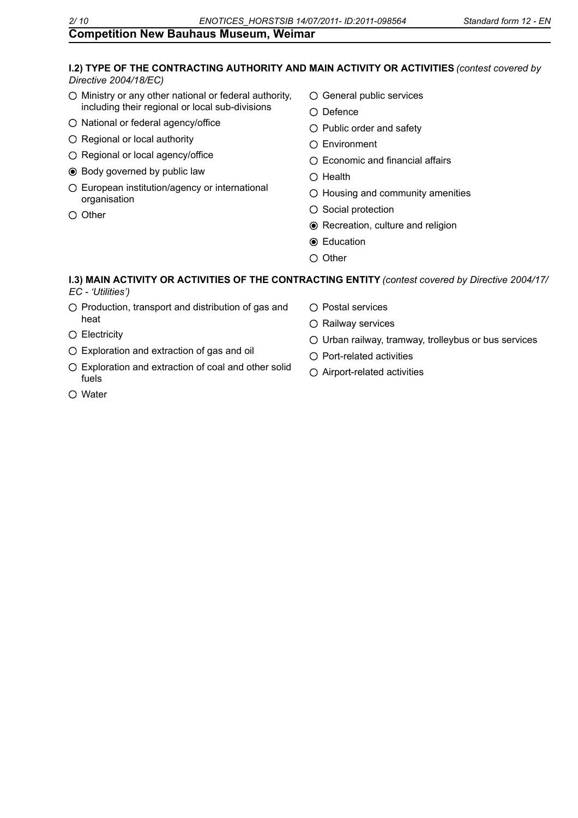# **I.2) TYPE OF THE CONTRACTING AUTHORITY AND MAIN ACTIVITY OR ACTIVITIES** *(contest covered by*

*Directive 2004/18/EC)*

- $\bigcirc$  Ministry or any other national or federal authority, including their regional or local sub-divisions
- O National or federal agency/office
- O Regional or local authority
- O Regional or local agency/office
- $\odot$  Body governed by public law
- European institution/agency or international organisation
- $O$  Other
- General public services
- $O$  Defence
- $\bigcirc$  Public order and safety
- Environment
- $\bigcirc$  Economic and financial affairs
- $O$  Health
- $\bigcirc$  Housing and community amenities
- $\bigcirc$  Social protection
- Recreation, culture and religion
- **Education**
- $\bigcirc$  Other

#### **I.3) MAIN ACTIVITY OR ACTIVITIES OF THE CONTRACTING ENTITY** *(contest covered by Directive 2004/17/ EC - 'Utilities')*

- $\bigcirc$  Production, transport and distribution of gas and heat
- O Electricity
- Exploration and extraction of gas and oil
- Exploration and extraction of coal and other solid fuels
- $\bigcirc$  Postal services
- O Railway services
- $\circ$  Urban railway, tramway, trolleybus or bus services
- $\bigcirc$  Port-related activities
- Airport-related activities

Water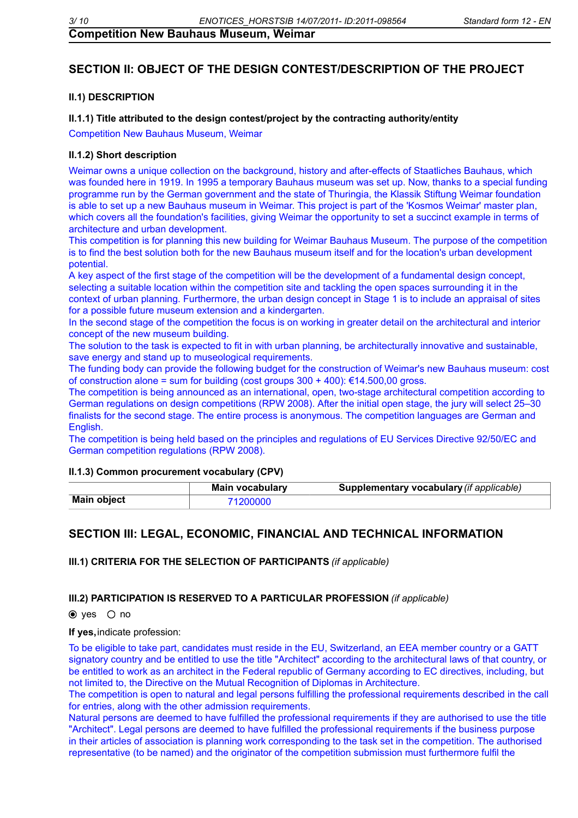## **SECTION II: OBJECT OF THE DESIGN CONTEST/DESCRIPTION OF THE PROJECT**

### **II.1) DESCRIPTION**

#### **II.1.1) Title attributed to the design contest/project by the contracting authority/entity**

Competition New Bauhaus Museum, Weimar

#### **II.1.2) Short description**

Weimar owns a unique collection on the background, history and after-effects of Staatliches Bauhaus, which was founded here in 1919. In 1995 a temporary Bauhaus museum was set up. Now, thanks to a special funding programme run by the German government and the state of Thuringia, the Klassik Stiftung Weimar foundation is able to set up a new Bauhaus museum in Weimar. This project is part of the 'Kosmos Weimar' master plan, which covers all the foundation's facilities, giving Weimar the opportunity to set a succinct example in terms of architecture and urban development.

This competition is for planning this new building for Weimar Bauhaus Museum. The purpose of the competition is to find the best solution both for the new Bauhaus museum itself and for the location's urban development potential.

A key aspect of the first stage of the competition will be the development of a fundamental design concept, selecting a suitable location within the competition site and tackling the open spaces surrounding it in the context of urban planning. Furthermore, the urban design concept in Stage 1 is to include an appraisal of sites for a possible future museum extension and a kindergarten.

In the second stage of the competition the focus is on working in greater detail on the architectural and interior concept of the new museum building.

The solution to the task is expected to fit in with urban planning, be architecturally innovative and sustainable, save energy and stand up to museological requirements.

The funding body can provide the following budget for the construction of Weimar's new Bauhaus museum: cost of construction alone = sum for building (cost groups  $300 + 400$ ): €14.500,00 gross.

The competition is being announced as an international, open, two-stage architectural competition according to German regulations on design competitions (RPW 2008). After the initial open stage, the jury will select 25–30 finalists for the second stage. The entire process is anonymous. The competition languages are German and English.

The competition is being held based on the principles and regulations of EU Services Directive 92/50/EC and German competition regulations (RPW 2008).

#### **II.1.3) Common procurement vocabulary (CPV)**

|                    | <b>Main vocabulary</b> | Supplementary vocabulary (if applicable) |
|--------------------|------------------------|------------------------------------------|
| <b>Main object</b> | '200000                |                                          |

## **SECTION III: LEGAL, ECONOMIC, FINANCIAL AND TECHNICAL INFORMATION**

**III.1) CRITERIA FOR THE SELECTION OF PARTICIPANTS** *(if applicable)*

#### **III.2) PARTICIPATION IS RESERVED TO A PARTICULAR PROFESSION** *(if applicable)*

 $\odot$  yes  $\odot$  no

#### **If yes,**indicate profession:

To be eligible to take part, candidates must reside in the EU, Switzerland, an EEA member country or a GATT signatory country and be entitled to use the title "Architect" according to the architectural laws of that country, or be entitled to work as an architect in the Federal republic of Germany according to EC directives, including, but not limited to, the Directive on the Mutual Recognition of Diplomas in Architecture.

The competition is open to natural and legal persons fulfilling the professional requirements described in the call for entries, along with the other admission requirements.

Natural persons are deemed to have fulfilled the professional requirements if they are authorised to use the title "Architect". Legal persons are deemed to have fulfilled the professional requirements if the business purpose in their articles of association is planning work corresponding to the task set in the competition. The authorised representative (to be named) and the originator of the competition submission must furthermore fulfil the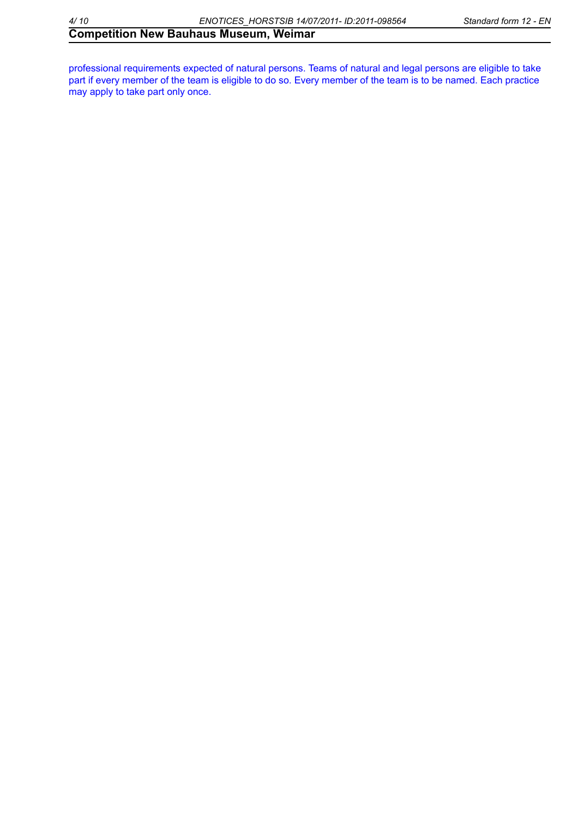professional requirements expected of natural persons. Teams of natural and legal persons are eligible to take part if every member of the team is eligible to do so. Every member of the team is to be named. Each practice may apply to take part only once.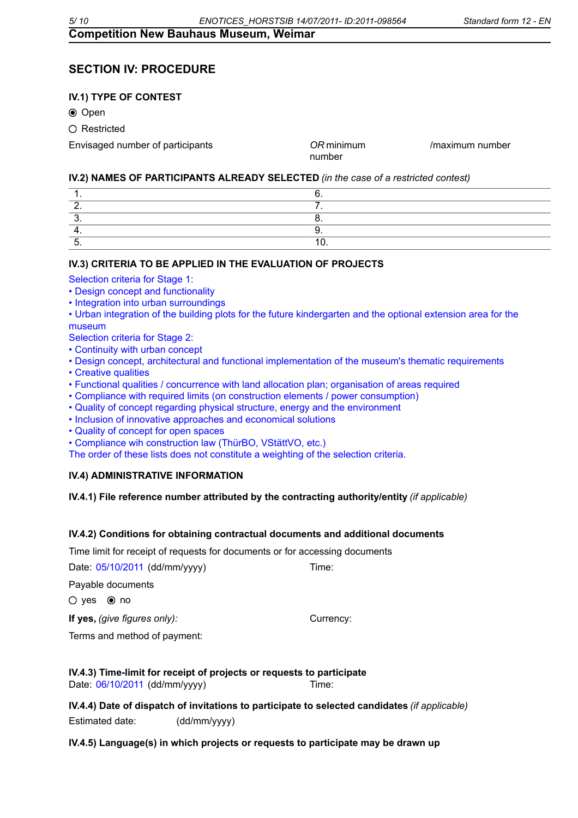# **SECTION IV: PROCEDURE**

## **IV.1) TYPE OF CONTEST**

**⊙** Open

○ Restricted

Envisaged number of participants \_\_\_\_\_ *OR* minimum

number \_\_\_\_\_

/maximum number \_\_\_\_\_

#### **IV.2) NAMES OF PARTICIPANTS ALREADY SELECTED** *(in the case of a restricted contest)*

#### **IV.3) CRITERIA TO BE APPLIED IN THE EVALUATION OF PROJECTS**

Selection criteria for Stage 1:

- Design concept and functionality
- Integration into urban surroundings
- Urban integration of the building plots for the future kindergarten and the optional extension area for the museum
- Selection criteria for Stage 2:
- Continuity with urban concept
- Design concept, architectural and functional implementation of the museum's thematic requirements
- Creative qualities
- Functional qualities / concurrence with land allocation plan; organisation of areas required
- Compliance with required limits (on construction elements / power consumption)
- Quality of concept regarding physical structure, energy and the environment
- Inclusion of innovative approaches and economical solutions
- Quality of concept for open spaces
- Compliance wih construction law (ThürBO, VStättVO, etc.)

The order of these lists does not constitute a weighting of the selection criteria.

#### **IV.4) ADMINISTRATIVE INFORMATION**

#### **IV.4.1) File reference number attributed by the contracting authority/entity***(if applicable)*

#### **IV.4.2) Conditions for obtaining contractual documents and additional documents**

Time limit for receipt of requests for documents or for accessing documents

Date: 05/10/2011 (dd/mm/yyyy) Time:

Payable documents

 $O$  yes  $\odot$  no

**If yes,** (give figures only): **Example 2** Currency:

Terms and method of payment:

#### **IV.4.3) Time-limit for receipt of projects or requests to participate** Date: 06/10/2011 (dd/mm/yyyy) Time:

**IV.4.4) Date of dispatch of invitations to participate to selected candidates***(if applicable)* Estimated date: \_\_\_\_\_\_ (dd/mm/yyyy)

**IV.4.5) Language(s) in which projects or requests to participate may be drawn up**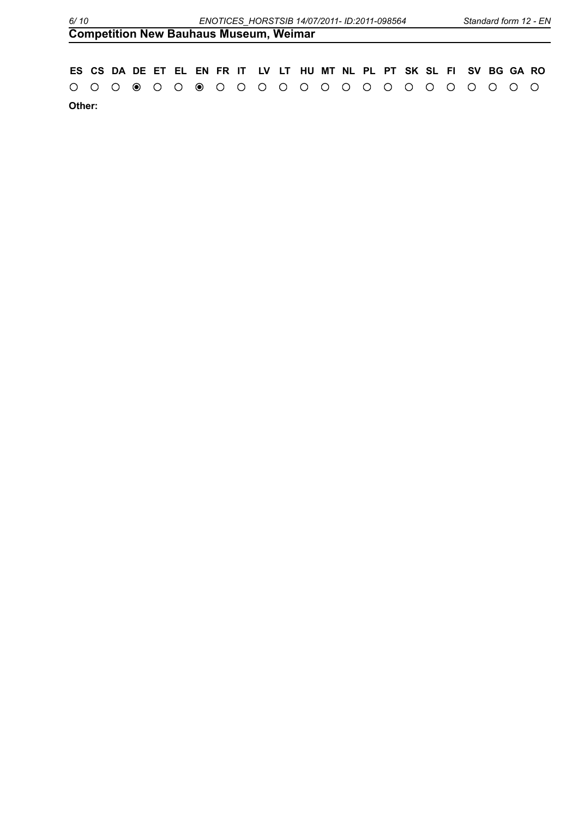| <b>Competition New Bauhaus Museum, Weimar</b> |  |  |
|-----------------------------------------------|--|--|
|                                               |  |  |

|        |  |  |  |  |  |  |  |  |  | ES CS DA DE ET EL EN FR IT LV LT HU MT NL PL PT SK SL FI SV BG GA RO |  |  |
|--------|--|--|--|--|--|--|--|--|--|----------------------------------------------------------------------|--|--|
|        |  |  |  |  |  |  |  |  |  |                                                                      |  |  |
| Other: |  |  |  |  |  |  |  |  |  |                                                                      |  |  |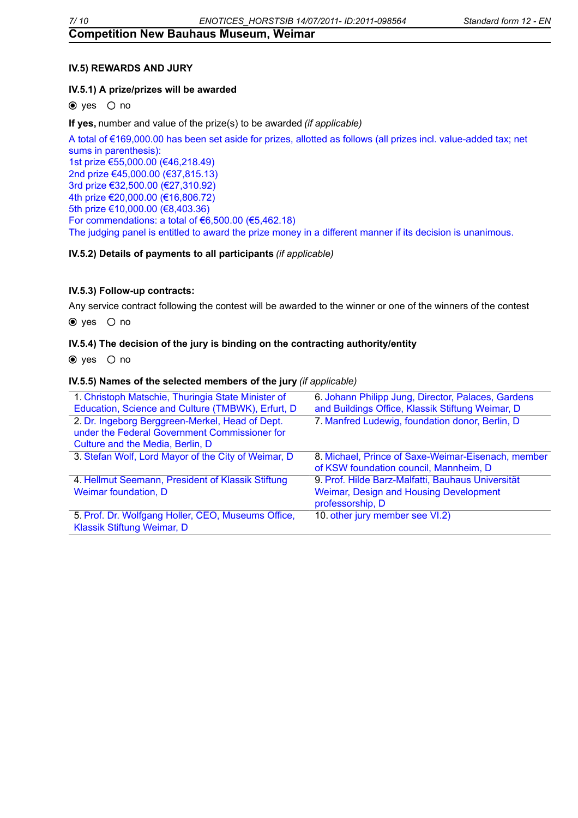### **IV.5) REWARDS AND JURY**

#### **IV.5.1) A prize/prizes will be awarded**

 $\odot$  yes  $\odot$  no

**If yes,**number and value of the prize(s) to be awarded*(if applicable)*

A total of €169,000.00 has been set aside for prizes, allotted as follows (all prizes incl. value-added tax; net sums in parenthesis): 1st prize €55,000.00 (€46,218.49) 2nd prize €45,000.00 (€37,815.13) 3rd prize €32,500.00 (€27,310.92) 4th prize €20,000.00 (€16,806.72) 5th prize €10,000.00 (€8,403.36) For commendations: a total of  $\epsilon$ 6,500.00 ( $\epsilon$ 5,462.18) The judging panel is entitled to award the prize money in a different manner if its decision is unanimous.

#### **IV.5.2) Details of payments to all participants***(if applicable)*

#### **IV.5.3) Follow-up contracts:**

Any service contract following the contest will be awarded to the winner or one of the winners of the contest

 $\bullet$  yes  $\circ$  no

#### **IV.5.4) The decision of the jury is binding on the contracting authority/entity**

 $\odot$  ves  $\odot$  no

#### **IV.5.5) Names of the selected members of the jury***(if applicable)*

| 1. Christoph Matschie, Thuringia State Minister of  | 6. Johann Philipp Jung, Director, Palaces, Gardens |
|-----------------------------------------------------|----------------------------------------------------|
| Education, Science and Culture (TMBWK), Erfurt, D   | and Buildings Office, Klassik Stiftung Weimar, D   |
| 2. Dr. Ingeborg Berggreen-Merkel, Head of Dept.     | 7. Manfred Ludewig, foundation donor, Berlin, D    |
| under the Federal Government Commissioner for       |                                                    |
| Culture and the Media, Berlin, D                    |                                                    |
| 3. Stefan Wolf, Lord Mayor of the City of Weimar, D | 8. Michael, Prince of Saxe-Weimar-Eisenach, member |
|                                                     | of KSW foundation council, Mannheim, D             |
| 4. Hellmut Seemann, President of Klassik Stiftung   | 9. Prof. Hilde Barz-Malfatti, Bauhaus Universität  |
| Weimar foundation, D                                | Weimar, Design and Housing Development             |
|                                                     | professorship, D                                   |
| 5. Prof. Dr. Wolfgang Holler, CEO, Museums Office,  | 10. other jury member see VI.2)                    |
| Klassik Stiftung Weimar, D                          |                                                    |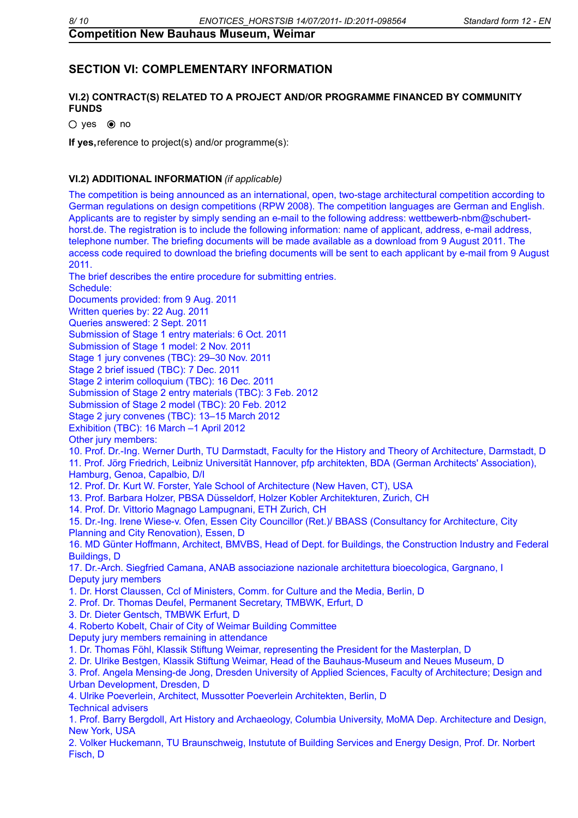# **SECTION VI: COMPLEMENTARY INFORMATION**

### **VI.2) CONTRACT(S) RELATED TO A PROJECT AND/OR PROGRAMME FINANCED BY COMMUNITY FUNDS**

 $O$  yes  $\odot$  no

**If yes,**reference to project(s) and/or programme(s):

#### **VI.2) ADDITIONAL INFORMATION** *(if applicable)*

The competition is being announced as an international, open, two-stage architectural competition according to German regulations on design competitions (RPW 2008). The competition languages are German and English. Applicants are to register by simply sending an e-mail to the following address: wettbewerb-nbm@schuberthorst.de. The registration is to include the following information: name of applicant, address, e-mail address, telephone number. The briefing documents will be made available as a download from 9 August 2011. The access code required to download the briefing documents will be sent to each applicant by e-mail from 9 August 2011.

The brief describes the entire procedure for submitting entries.

Schedule:

Documents provided: from 9 Aug. 2011

Written queries by: 22 Aug. 2011

Queries answered: 2 Sept. 2011

Submission of Stage 1 entry materials: 6 Oct. 2011

Submission of Stage 1 model: 2 Nov. 2011

Stage 1 jury convenes (TBC): 29–30 Nov. 2011

Stage 2 brief issued (TBC): 7 Dec. 2011

Stage 2 interim colloquium (TBC): 16 Dec. 2011

Submission of Stage 2 entry materials (TBC): 3 Feb. 2012

Submission of Stage 2 model (TBC): 20 Feb. 2012

Stage 2 jury convenes (TBC): 13–15 March 2012

Exhibition (TBC): 16 March –1 April 2012

Other jury members:

10. Prof. Dr.-Ing. Werner Durth, TU Darmstadt, Faculty for the History and Theory of Architecture, Darmstadt, D 11. Prof. Jörg Friedrich, Leibniz Universität Hannover, pfp architekten, BDA (German Architects' Association), Hamburg, Genoa, Capalbio, D/I

12. Prof. Dr. Kurt W. Forster, Yale School of Architecture (New Haven, CT), USA

13. Prof. Barbara Holzer, PBSA Düsseldorf, Holzer Kobler Architekturen, Zurich, CH

14. Prof. Dr. Vittorio Magnago Lampugnani, ETH Zurich, CH

15. Dr.-Ing. Irene Wiese-v. Ofen, Essen City Councillor (Ret.)/ BBASS (Consultancy for Architecture, City Planning and City Renovation), Essen, D

16. MD Günter Hoffmann, Architect, BMVBS, Head of Dept. for Buildings, the Construction Industry and Federal Buildings, D

17. Dr.-Arch. Siegfried Camana, ANAB associazione nazionale architettura bioecologica, Gargnano, I Deputy jury members

1. Dr. Horst Claussen, Ccl of Ministers, Comm. for Culture and the Media, Berlin, D

2. Prof. Dr. Thomas Deufel, Permanent Secretary, TMBWK, Erfurt, D

3. Dr. Dieter Gentsch, TMBWK Erfurt, D

4. Roberto Kobelt, Chair of City of Weimar Building Committee

Deputy jury members remaining in attendance

1. Dr. Thomas Föhl, Klassik Stiftung Weimar, representing the President for the Masterplan, D

2. Dr. Ulrike Bestgen, Klassik Stiftung Weimar, Head of the Bauhaus-Museum and Neues Museum, D

3. Prof. Angela Mensing-de Jong, Dresden University of Applied Sciences, Faculty of Architecture; Design and Urban Development, Dresden, D

4. Ulrike Poeverlein, Architect, Mussotter Poeverlein Architekten, Berlin, D Technical advisers

1. Prof. Barry Bergdoll, Art History and Archaeology, Columbia University, MoMA Dep. Architecture and Design, New York, USA

2. Volker Huckemann, TU Braunschweig, Instutute of Building Services and Energy Design, Prof. Dr. Norbert Fisch, D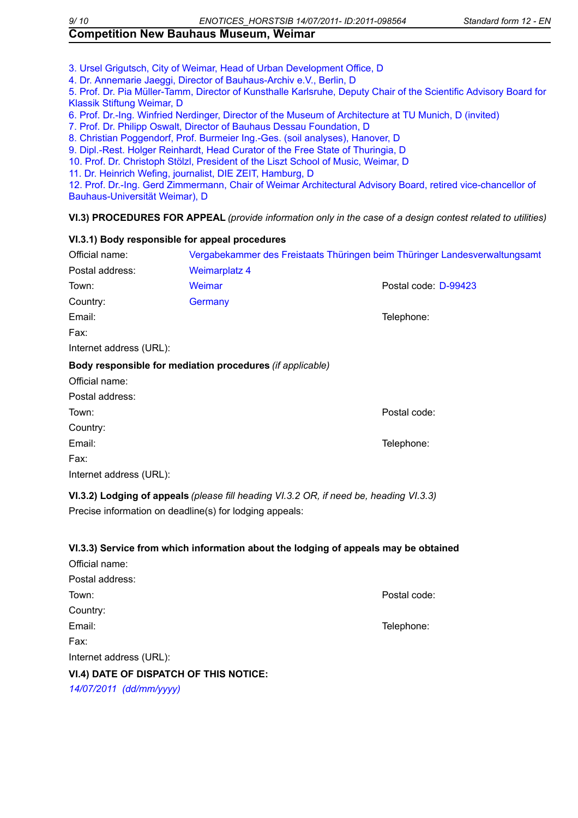3. Ursel Grigutsch, City of Weimar, Head of Urban Development Office, D

4. Dr. Annemarie Jaeggi, Director of Bauhaus-Archiv e.V., Berlin, D

5. Prof. Dr. Pia Müller-Tamm, Director of Kunsthalle Karlsruhe, Deputy Chair of the Scientific Advisory Board for Klassik Stiftung Weimar, D

6. Prof. Dr.-Ing. Winfried Nerdinger, Director of the Museum of Architecture at TU Munich, D (invited)

7. Prof. Dr. Philipp Oswalt, Director of Bauhaus Dessau Foundation, D

8. Christian Poggendorf, Prof. Burmeier Ing.-Ges. (soil analyses), Hanover, D

9. Dipl.-Rest. Holger Reinhardt, Head Curator of the Free State of Thuringia, D

10. Prof. Dr. Christoph Stölzl, President of the Liszt School of Music, Weimar, D

11. Dr. Heinrich Wefing, journalist, DIE ZEIT, Hamburg, D

12. Prof. Dr.-Ing. Gerd Zimmermann, Chair of Weimar Architectural Advisory Board, retired vice-chancellor of Bauhaus-Universität Weimar), D

#### **VI.3) PROCEDURES FOR APPEAL** *(provide information only in the case of a design contest related to utilities)*

#### **VI.3.1) Body responsible for appeal procedures**

| Official name:          |                                                           | Vergabekammer des Freistaats Thüringen beim Thüringer Landesverwaltungsamt |
|-------------------------|-----------------------------------------------------------|----------------------------------------------------------------------------|
| Postal address:         | <b>Weimarplatz 4</b>                                      |                                                                            |
| Town:                   | Weimar                                                    | Postal code: D-99423                                                       |
| Country:                | Germany                                                   |                                                                            |
| Email:                  |                                                           | Telephone:                                                                 |
| Fax:                    |                                                           |                                                                            |
| Internet address (URL): |                                                           |                                                                            |
|                         | Body responsible for mediation procedures (if applicable) |                                                                            |
| Official name:          |                                                           |                                                                            |
| Postal address:         |                                                           |                                                                            |
| Town:                   |                                                           | Postal code:                                                               |
| Country:                |                                                           |                                                                            |
| Email:                  |                                                           | Telephone:                                                                 |
| Fax:                    |                                                           |                                                                            |
| Internet address (URL): |                                                           |                                                                            |

**VI.3.2) Lodging of appeals***(please fill heading VI.3.2 OR, if need be, heading VI.3.3)* Precise information on deadline(s) for lodging appeals:

#### **VI.3.3) Service from which information about the lodging of appeals may be obtained**

| Official name:                         |              |
|----------------------------------------|--------------|
| Postal address:                        |              |
| Town:                                  | Postal code: |
| Country:                               |              |
| Email:                                 | Telephone:   |
| Fax:                                   |              |
| Internet address (URL):                |              |
| VI.4) DATE OF DISPATCH OF THIS NOTICE: |              |
|                                        |              |

*14/07/2011 (dd/mm/yyyy)*